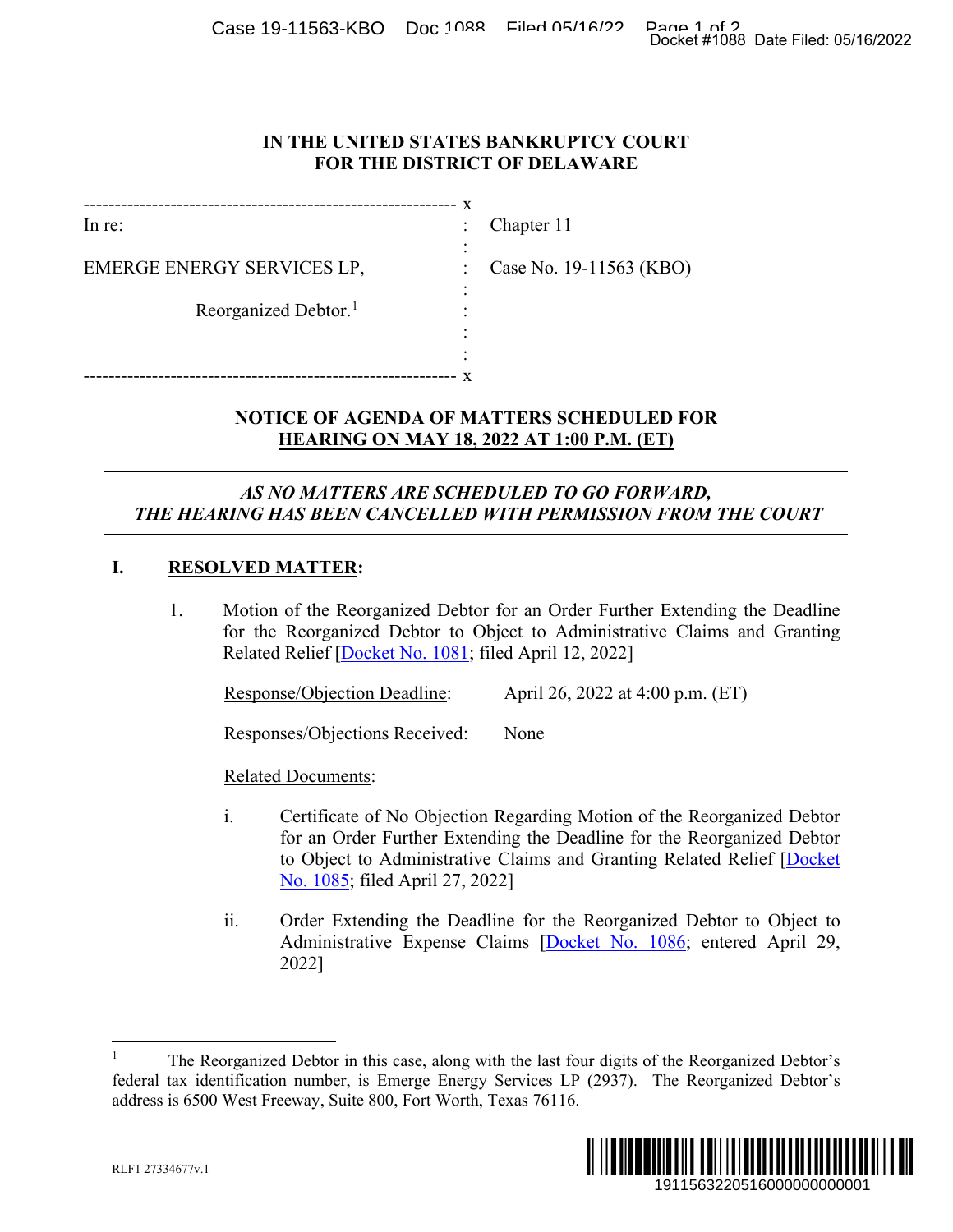Case 19-11563-KBO Doc 1088 Filed 05/16/22 Page 1 of 2<br>Docket #1088 Date Filed: 05/16/2022

#### **IN THE UNITED STATES BANKRUPTCY COURT FOR THE DISTRICT OF DELAWARE**

|                                  | X              |                         |
|----------------------------------|----------------|-------------------------|
| $ln re$ :                        | $\ddot{\cdot}$ | Chapter 11              |
| EMERGE ENERGY SERVICES LP,       | $\ddot{\cdot}$ | Case No. 19-11563 (KBO) |
| Reorganized Debtor. <sup>1</sup> | ۰              |                         |
|                                  |                |                         |
|                                  |                |                         |

# **NOTICE OF AGENDA OF MATTERS SCHEDULED FOR HEARING ON MAY 18, 2022 AT 1:00 P.M. (ET)**

# *AS NO MATTERS ARE SCHEDULED TO GO FORWARD, THE HEARING HAS BEEN CANCELLED WITH PERMISSION FROM THE COURT*

## **I. RESOLVED MATTER:**

1. Motion of the Reorganized Debtor for an Order Further Extending the Deadline for the Reorganized Debtor to Object to Administrative Claims and Granting Related Relief [Docket No. 1081; filed April 12, 2022]

Response/Objection Deadline: April 26, 2022 at 4:00 p.m. (ET)

Responses/Objections Received: None

## Related Documents:

- i. Certificate of No Objection Regarding Motion of the Reorganized Debtor for an Order Further Extending the Deadline for the Reorganized Debtor to Object to Administrative Claims and Granting Related Relief [Docket No. 1085; filed April 27, 2022] 1911563220516000000000001 Docket #1088 Date Filed: 05/16/2022
- ii. Order Extending the Deadline for the Reorganized Debtor to Object to Administrative Expense Claims [Docket No. 1086; entered April 29, 2022]

 <sup>1</sup> The Reorganized Debtor in this case, along with the last four digits of the Reorganized Debtor's federal tax identification number, is Emerge Energy Services LP (2937). The Reorganized Debtor's address is 6500 West Freeway, Suite 800, Fort Worth, Texas 76116.